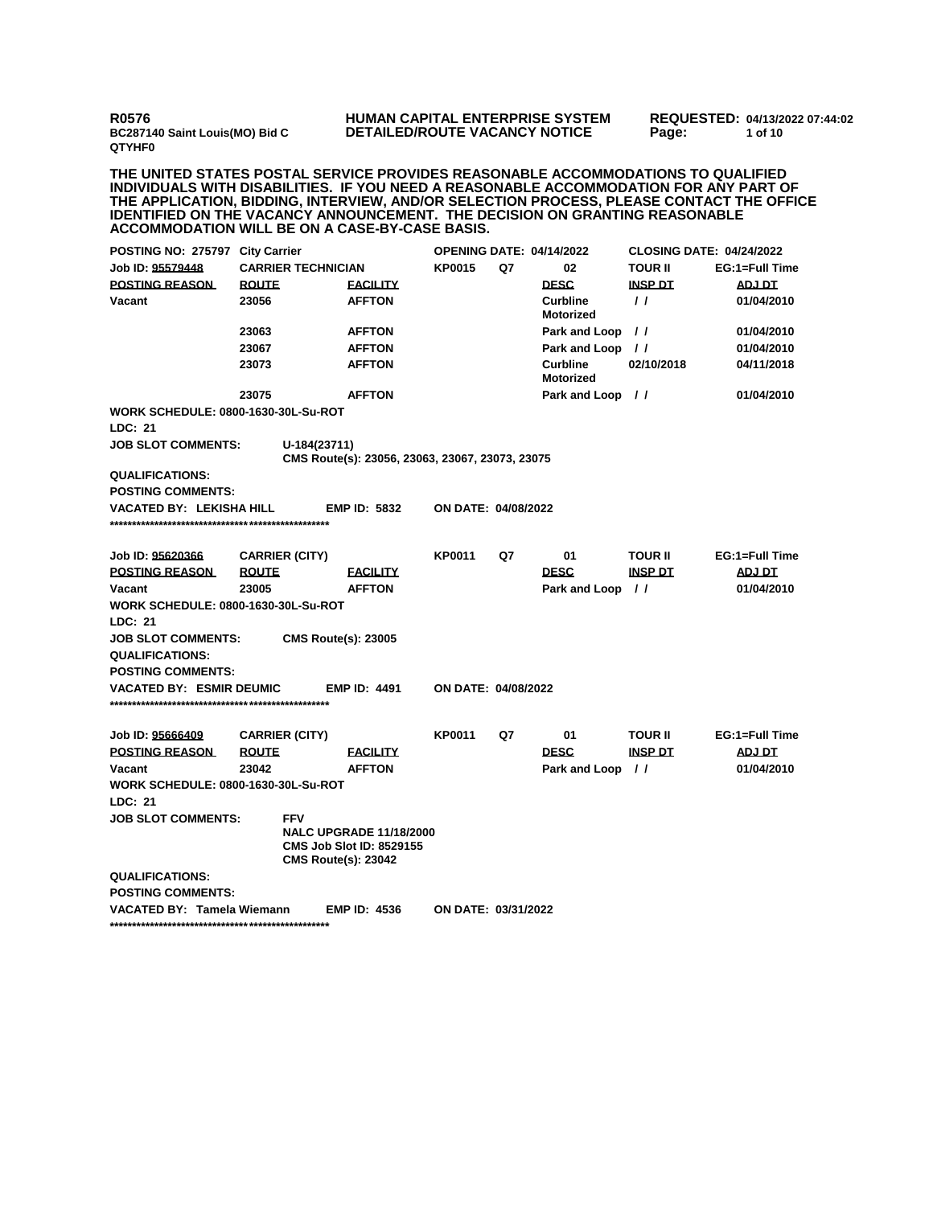**R0576 BC287140 Saint Louis(MO) Bid C QTYHF0**

## **HUMAN CAPITAL ENTERPRISE SYSTEM DETAILED/ROUTE VACANCY NOTICE**

**REQUESTED: 04/13/2022 07:44:02 Page: 1 of 10** 

**THE UNITED STATES POSTAL SERVICE PROVIDES REASONABLE ACCOMMODATIONS TO QUALIFIED INDIVIDUALS WITH DISABILITIES. IF YOU NEED A REASONABLE ACCOMMODATION FOR ANY PART OF THE APPLICATION, BIDDING, INTERVIEW, AND/OR SELECTION PROCESS, PLEASE CONTACT THE OFFICE IDENTIFIED ON THE VACANCY ANNOUNCEMENT. THE DECISION ON GRANTING REASONABLE ACCOMMODATION WILL BE ON A CASE-BY-CASE BASIS.**

|                                                       | POSTING NO: 275797 City Carrier |                                          |                                                                   | <b>OPENING DATE: 04/14/2022</b> |    |                                     | <b>CLOSING DATE: 04/24/2022</b> |                |  |
|-------------------------------------------------------|---------------------------------|------------------------------------------|-------------------------------------------------------------------|---------------------------------|----|-------------------------------------|---------------------------------|----------------|--|
| Job ID: 95579448                                      |                                 | <b>CARRIER TECHNICIAN</b>                |                                                                   | <b>KP0015</b>                   | Q7 | 02                                  | <b>TOUR II</b>                  | EG:1=Full Time |  |
| <b>POSTING REASON</b>                                 | <b>ROUTE</b>                    |                                          | <b>FACILITY</b>                                                   |                                 |    | <b>DESC</b>                         | <b>INSP DT</b>                  | <b>ADJ DT</b>  |  |
| Vacant                                                | 23056                           |                                          | <b>AFFTON</b>                                                     |                                 |    | <b>Curbline</b><br><b>Motorized</b> | $\prime$                        | 01/04/2010     |  |
|                                                       | 23063                           |                                          | <b>AFFTON</b>                                                     |                                 |    | Park and Loop                       | $\prime\prime$                  | 01/04/2010     |  |
|                                                       | 23067                           |                                          | <b>AFFTON</b>                                                     |                                 |    | Park and Loop                       | $\prime$                        | 01/04/2010     |  |
|                                                       | 23073                           |                                          | <b>AFFTON</b>                                                     |                                 |    | <b>Curbline</b><br><b>Motorized</b> | 02/10/2018                      | 04/11/2018     |  |
|                                                       | 23075                           |                                          | <b>AFFTON</b>                                                     |                                 |    | Park and Loop                       | $\prime$                        | 01/04/2010     |  |
| <b>WORK SCHEDULE: 0800-1630-30L-Su-ROT</b><br>LDC: 21 |                                 |                                          |                                                                   |                                 |    |                                     |                                 |                |  |
| <b>JOB SLOT COMMENTS:</b>                             |                                 | U-184(23711)                             |                                                                   |                                 |    |                                     |                                 |                |  |
|                                                       |                                 |                                          | CMS Route(s): 23056, 23063, 23067, 23073, 23075                   |                                 |    |                                     |                                 |                |  |
| <b>QUALIFICATIONS:</b>                                |                                 |                                          |                                                                   |                                 |    |                                     |                                 |                |  |
| <b>POSTING COMMENTS:</b>                              |                                 |                                          |                                                                   |                                 |    |                                     |                                 |                |  |
| <b>VACATED BY: LEKISHA HILL</b>                       |                                 |                                          | <b>EMP ID: 5832</b>                                               | <b>ON DATE: 04/08/2022</b>      |    |                                     |                                 |                |  |
| Job ID: 95620366                                      |                                 | <b>CARRIER (CITY)</b>                    |                                                                   | <b>KP0011</b>                   | Q7 | 01                                  | <b>TOUR II</b>                  | EG:1=Full Time |  |
| <b>POSTING REASON</b>                                 | <b>ROUTE</b>                    |                                          | <b>FACILITY</b>                                                   |                                 |    | <b>DESC</b>                         | <b>INSP DT</b>                  | <b>ADJ DT</b>  |  |
| Vacant                                                | 23005                           |                                          | <b>AFFTON</b>                                                     |                                 |    | Park and Loop                       | $\frac{1}{2}$                   | 01/04/2010     |  |
| <b>WORK SCHEDULE: 0800-1630-30L-Su-ROT</b>            |                                 |                                          |                                                                   |                                 |    |                                     |                                 |                |  |
| LDC: 21                                               |                                 |                                          |                                                                   |                                 |    |                                     |                                 |                |  |
| <b>JOB SLOT COMMENTS:</b>                             |                                 | <b>CMS Route(s): 23005</b>               |                                                                   |                                 |    |                                     |                                 |                |  |
| <b>QUALIFICATIONS:</b>                                |                                 |                                          |                                                                   |                                 |    |                                     |                                 |                |  |
| <b>POSTING COMMENTS:</b>                              |                                 |                                          |                                                                   |                                 |    |                                     |                                 |                |  |
| <b>VACATED BY: ESMIR DEUMIC</b>                       |                                 |                                          | <b>EMP ID: 4491</b>                                               | ON DATE: 04/08/2022             |    |                                     |                                 |                |  |
|                                                       |                                 |                                          |                                                                   |                                 |    |                                     |                                 |                |  |
| Job ID: 95666409                                      |                                 | <b>CARRIER (CITY)</b>                    |                                                                   | <b>KP0011</b>                   | Q7 | 01                                  | <b>TOUR II</b>                  | EG:1=Full Time |  |
| <b>POSTING REASON</b>                                 | <b>ROUTE</b>                    |                                          | <b>FACILITY</b>                                                   |                                 |    | <b>DESC</b>                         | <b>INSP DT</b>                  | ADJ DT         |  |
| Vacant                                                | 23042                           |                                          | <b>AFFTON</b>                                                     |                                 |    | Park and Loop                       | $\frac{1}{2}$                   | 01/04/2010     |  |
| <b>WORK SCHEDULE: 0800-1630-30L-Su-ROT</b>            |                                 |                                          |                                                                   |                                 |    |                                     |                                 |                |  |
| LDC: 21                                               |                                 |                                          |                                                                   |                                 |    |                                     |                                 |                |  |
| <b>JOB SLOT COMMENTS:</b>                             |                                 | <b>FFV</b><br><b>CMS Route(s): 23042</b> | <b>NALC UPGRADE 11/18/2000</b><br><b>CMS Job Slot ID: 8529155</b> |                                 |    |                                     |                                 |                |  |
| <b>QUALIFICATIONS:</b>                                |                                 |                                          |                                                                   |                                 |    |                                     |                                 |                |  |
| <b>POSTING COMMENTS:</b>                              |                                 |                                          |                                                                   |                                 |    |                                     |                                 |                |  |
| <b>VACATED BY: Tamela Wiemann</b>                     |                                 |                                          | <b>EMP ID: 4536</b>                                               | ON DATE: 03/31/2022             |    |                                     |                                 |                |  |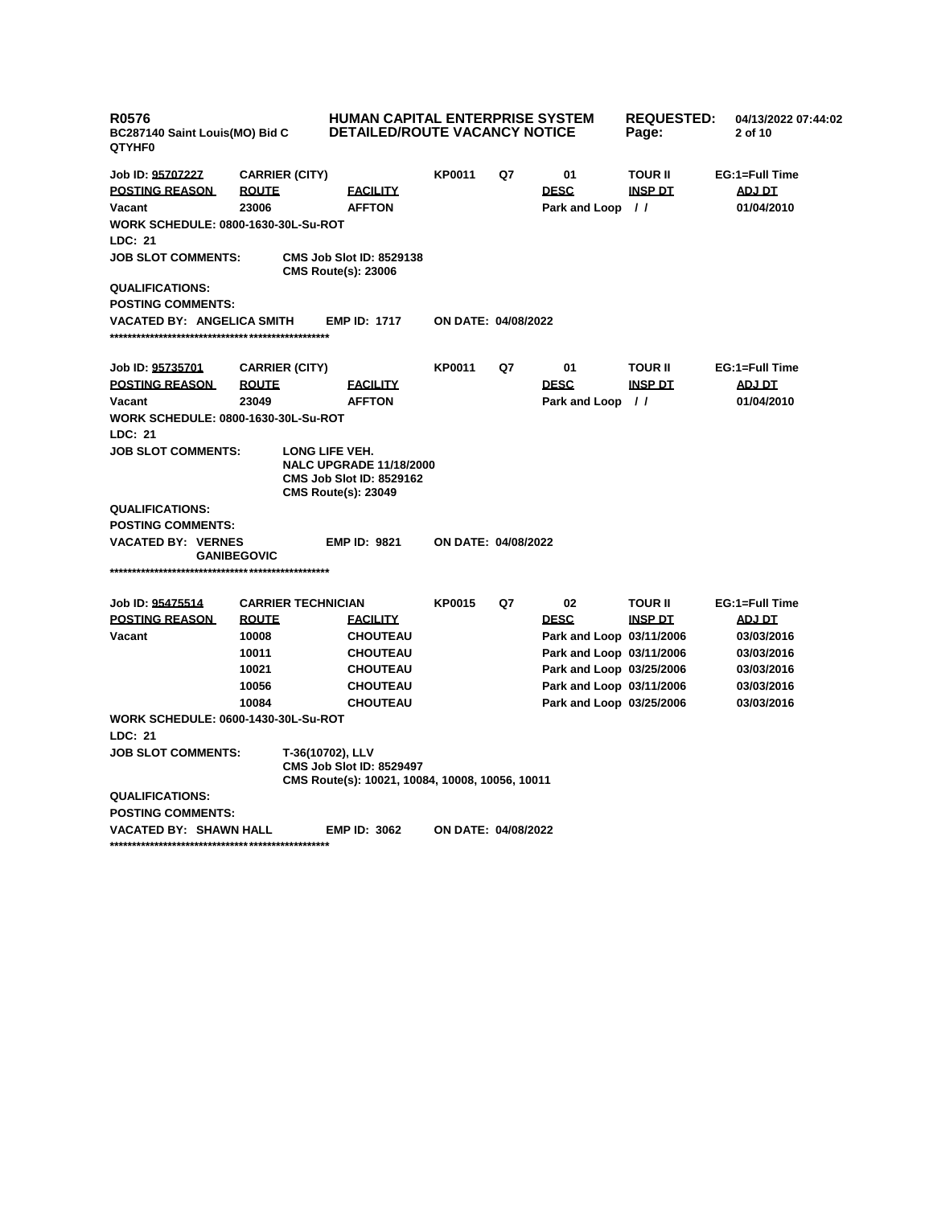| <b>R0576</b><br>BC287140 Saint Louis(MO) Bid C<br>QTYHF0     |                    |                           | <b>HUMAN CAPITAL ENTERPRISE SYSTEM</b><br><b>DETAILED/ROUTE VACANCY NOTICE</b>                                    | <b>REQUESTED:</b><br>Page: | 04/13/2022 07:44:02<br>2 of 10 |                          |                |                |  |
|--------------------------------------------------------------|--------------------|---------------------------|-------------------------------------------------------------------------------------------------------------------|----------------------------|--------------------------------|--------------------------|----------------|----------------|--|
| Job ID: 95707227                                             |                    | <b>CARRIER (CITY)</b>     |                                                                                                                   | <b>KP0011</b>              | Q7                             | 01                       | <b>TOUR II</b> | EG:1=Full Time |  |
| <b>POSTING REASON</b>                                        | <b>ROUTE</b>       |                           | <b>FACILITY</b>                                                                                                   |                            |                                | <b>DESC</b>              | <b>INSP DT</b> | ADJ DT         |  |
| Vacant                                                       | 23006              |                           | <b>AFFTON</b>                                                                                                     |                            |                                | Park and Loop //         |                | 01/04/2010     |  |
| <b>WORK SCHEDULE: 0800-1630-30L-Su-ROT</b>                   |                    |                           |                                                                                                                   |                            |                                |                          |                |                |  |
| LDC: 21                                                      |                    |                           |                                                                                                                   |                            |                                |                          |                |                |  |
| <b>JOB SLOT COMMENTS:</b>                                    |                    |                           | <b>CMS Job Slot ID: 8529138</b><br><b>CMS Route(s): 23006</b>                                                     |                            |                                |                          |                |                |  |
| <b>QUALIFICATIONS:</b>                                       |                    |                           |                                                                                                                   |                            |                                |                          |                |                |  |
| <b>POSTING COMMENTS:</b>                                     |                    |                           |                                                                                                                   |                            |                                |                          |                |                |  |
| VACATED BY: ANGELICA SMITH                                   |                    |                           | <b>EMP ID: 1717</b>                                                                                               | ON DATE: 04/08/2022        |                                |                          |                |                |  |
| Job ID: 95735701                                             |                    | <b>CARRIER (CITY)</b>     |                                                                                                                   | <b>KP0011</b>              | Q7                             | 01                       | <b>TOUR II</b> | EG:1=Full Time |  |
| <b>POSTING REASON</b>                                        | <b>ROUTE</b>       |                           | <b>FACILITY</b>                                                                                                   |                            |                                | <b>DESC</b>              | <b>INSP DT</b> | <b>ADJ DT</b>  |  |
| Vacant                                                       | 23049              |                           | <b>AFFTON</b>                                                                                                     |                            |                                | Park and Loop //         |                | 01/04/2010     |  |
| <b>WORK SCHEDULE: 0800-1630-30L-Su-ROT</b>                   |                    |                           |                                                                                                                   |                            |                                |                          |                |                |  |
| LDC: 21                                                      |                    |                           |                                                                                                                   |                            |                                |                          |                |                |  |
| <b>JOB SLOT COMMENTS:</b>                                    |                    |                           | LONG LIFE VEH.<br><b>NALC UPGRADE 11/18/2000</b><br><b>CMS Job Slot ID: 8529162</b><br><b>CMS Route(s): 23049</b> |                            |                                |                          |                |                |  |
| <b>QUALIFICATIONS:</b>                                       |                    |                           |                                                                                                                   |                            |                                |                          |                |                |  |
| <b>POSTING COMMENTS:</b>                                     |                    |                           |                                                                                                                   |                            |                                |                          |                |                |  |
| <b>VACATED BY: VERNES</b>                                    | <b>GANIBEGOVIC</b> |                           | <b>EMP ID: 9821</b>                                                                                               | <b>ON DATE: 04/08/2022</b> |                                |                          |                |                |  |
|                                                              |                    |                           |                                                                                                                   |                            |                                |                          |                |                |  |
| Job ID: 95475514                                             |                    | <b>CARRIER TECHNICIAN</b> |                                                                                                                   | <b>KP0015</b>              | Q7                             | 02                       | <b>TOUR II</b> | EG:1=Full Time |  |
| <b>POSTING REASON</b>                                        | <b>ROUTE</b>       |                           | <b>FACILITY</b>                                                                                                   |                            |                                | <b>DESC</b>              | <b>INSP DT</b> | <b>ADJ DT</b>  |  |
| Vacant                                                       | 10008              |                           | <b>CHOUTEAU</b>                                                                                                   |                            |                                | Park and Loop 03/11/2006 |                | 03/03/2016     |  |
|                                                              | 10011              |                           | <b>CHOUTEAU</b>                                                                                                   |                            |                                | Park and Loop 03/11/2006 |                | 03/03/2016     |  |
|                                                              | 10021              |                           | <b>CHOUTEAU</b>                                                                                                   |                            |                                | Park and Loop 03/25/2006 |                | 03/03/2016     |  |
|                                                              | 10056              |                           | <b>CHOUTEAU</b>                                                                                                   |                            |                                | Park and Loop 03/11/2006 |                | 03/03/2016     |  |
|                                                              | 10084              |                           | <b>CHOUTEAU</b>                                                                                                   |                            |                                | Park and Loop 03/25/2006 |                | 03/03/2016     |  |
| <b>WORK SCHEDULE: 0600-1430-30L-Su-ROT</b><br><b>LDC: 21</b> |                    |                           |                                                                                                                   |                            |                                |                          |                |                |  |
| <b>JOB SLOT COMMENTS:</b>                                    |                    |                           | T-36(10702), LLV<br><b>CMS Job Slot ID: 8529497</b><br>CMS Route(s): 10021, 10084, 10008, 10056, 10011            |                            |                                |                          |                |                |  |
| <b>QUALIFICATIONS:</b>                                       |                    |                           |                                                                                                                   |                            |                                |                          |                |                |  |
| <b>POSTING COMMENTS:</b>                                     |                    |                           |                                                                                                                   |                            |                                |                          |                |                |  |
| <b>VACATED BY: SHAWN HALL</b>                                |                    |                           | <b>EMP ID: 3062</b>                                                                                               | <b>ON DATE: 04/08/2022</b> |                                |                          |                |                |  |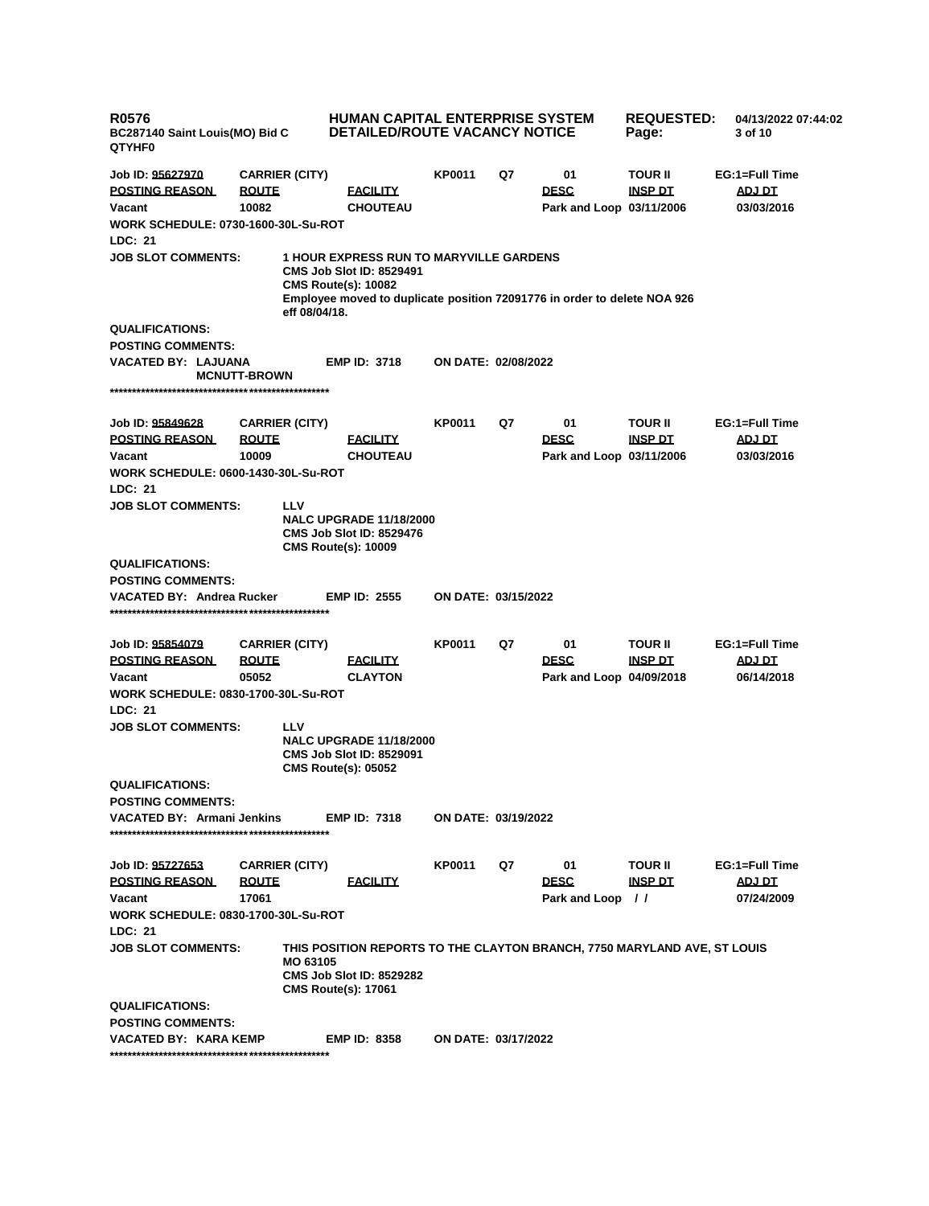| <b>R0576</b><br>BC287140 Saint Louis(MO) Bid C<br>QTYHF0 |                       |                                                                                                                                                                                             | <b>HUMAN CAPITAL ENTERPRISE SYSTEM</b><br><b>REQUESTED:</b><br>04/13/2022 07:44:02<br><b>DETAILED/ROUTE VACANCY NOTICE</b><br>Page:<br>3 of 10 |    |                          |                |                |  |
|----------------------------------------------------------|-----------------------|---------------------------------------------------------------------------------------------------------------------------------------------------------------------------------------------|------------------------------------------------------------------------------------------------------------------------------------------------|----|--------------------------|----------------|----------------|--|
| Job ID: 95627970                                         | <b>CARRIER (CITY)</b> |                                                                                                                                                                                             | KP0011                                                                                                                                         | Q7 | 01                       | <b>TOUR II</b> | EG:1=Full Time |  |
| <b>POSTING REASON</b>                                    | <b>ROUTE</b>          | <b>FACILITY</b>                                                                                                                                                                             |                                                                                                                                                |    | <b>DESC</b>              | <b>INSP DT</b> | ADJ DT         |  |
| Vacant                                                   | 10082                 | <b>CHOUTEAU</b>                                                                                                                                                                             |                                                                                                                                                |    | Park and Loop 03/11/2006 |                | 03/03/2016     |  |
| <b>WORK SCHEDULE: 0730-1600-30L-Su-ROT</b>               |                       |                                                                                                                                                                                             |                                                                                                                                                |    |                          |                |                |  |
| LDC: 21                                                  |                       |                                                                                                                                                                                             |                                                                                                                                                |    |                          |                |                |  |
| <b>JOB SLOT COMMENTS:</b>                                | eff 08/04/18.         | <b>1 HOUR EXPRESS RUN TO MARYVILLE GARDENS</b><br><b>CMS Job Slot ID: 8529491</b><br><b>CMS Route(s): 10082</b><br>Employee moved to duplicate position 72091776 in order to delete NOA 926 |                                                                                                                                                |    |                          |                |                |  |
| <b>QUALIFICATIONS:</b>                                   |                       |                                                                                                                                                                                             |                                                                                                                                                |    |                          |                |                |  |
| <b>POSTING COMMENTS:</b>                                 |                       |                                                                                                                                                                                             |                                                                                                                                                |    |                          |                |                |  |
| VACATED BY: LAJUANA                                      | <b>MCNUTT-BROWN</b>   | <b>EMP ID: 3718</b>                                                                                                                                                                         | <b>ON DATE: 02/08/2022</b>                                                                                                                     |    |                          |                |                |  |
| Job ID: 95849628                                         | <b>CARRIER (CITY)</b> |                                                                                                                                                                                             | KP0011                                                                                                                                         | Q7 | 01                       | <b>TOUR II</b> | EG:1=Full Time |  |
| <b>POSTING REASON</b>                                    | <b>ROUTE</b>          | <b>FACILITY</b>                                                                                                                                                                             |                                                                                                                                                |    | <b>DESC</b>              | <b>INSP DT</b> | <b>ADJ DT</b>  |  |
| Vacant                                                   | 10009                 | <b>CHOUTEAU</b>                                                                                                                                                                             |                                                                                                                                                |    | Park and Loop 03/11/2006 |                | 03/03/2016     |  |
| <b>WORK SCHEDULE: 0600-1430-30L-Su-ROT</b>               |                       |                                                                                                                                                                                             |                                                                                                                                                |    |                          |                |                |  |
| LDC: 21                                                  |                       |                                                                                                                                                                                             |                                                                                                                                                |    |                          |                |                |  |
| <b>JOB SLOT COMMENTS:</b>                                | LLV                   | <b>NALC UPGRADE 11/18/2000</b><br><b>CMS Job Slot ID: 8529476</b><br><b>CMS Route(s): 10009</b>                                                                                             |                                                                                                                                                |    |                          |                |                |  |
| <b>QUALIFICATIONS:</b>                                   |                       |                                                                                                                                                                                             |                                                                                                                                                |    |                          |                |                |  |
| <b>POSTING COMMENTS:</b>                                 |                       |                                                                                                                                                                                             |                                                                                                                                                |    |                          |                |                |  |
| VACATED BY: Andrea Rucker                                |                       | <b>EMP ID: 2555</b>                                                                                                                                                                         | <b>ON DATE: 03/15/2022</b>                                                                                                                     |    |                          |                |                |  |
| Job ID: 95854079                                         | <b>CARRIER (CITY)</b> |                                                                                                                                                                                             | KP0011                                                                                                                                         | Q7 | 01                       | <b>TOUR II</b> | EG:1=Full Time |  |
| <b>POSTING REASON</b>                                    | <b>ROUTE</b>          | <b>FACILITY</b>                                                                                                                                                                             |                                                                                                                                                |    | <b>DESC</b>              | <u>INSP DT</u> | <b>ADJ DT</b>  |  |
| Vacant                                                   | 05052                 | <b>CLAYTON</b>                                                                                                                                                                              |                                                                                                                                                |    | Park and Loop 04/09/2018 |                | 06/14/2018     |  |
| <b>WORK SCHEDULE: 0830-1700-30L-Su-ROT</b><br>LDC: 21    |                       |                                                                                                                                                                                             |                                                                                                                                                |    |                          |                |                |  |
| <b>JOB SLOT COMMENTS:</b>                                | LLV                   | <b>NALC UPGRADE 11/18/2000</b><br><b>CMS Job Slot ID: 8529091</b><br><b>CMS Route(s): 05052</b>                                                                                             |                                                                                                                                                |    |                          |                |                |  |
| <b>QUALIFICATIONS:</b>                                   |                       |                                                                                                                                                                                             |                                                                                                                                                |    |                          |                |                |  |
| <b>POSTING COMMENTS:</b>                                 |                       |                                                                                                                                                                                             |                                                                                                                                                |    |                          |                |                |  |
| <b>VACATED BY: Armani Jenkins</b>                        |                       | <b>EMP ID: 7318</b>                                                                                                                                                                         | ON DATE: 03/19/2022                                                                                                                            |    |                          |                |                |  |
| Job ID: 95727653                                         | <b>CARRIER (CITY)</b> |                                                                                                                                                                                             | KP0011                                                                                                                                         | Q7 | 01                       | <b>TOUR II</b> | EG:1=Full Time |  |
| <b>POSTING REASON</b>                                    | <b>ROUTE</b>          | <b>FACILITY</b>                                                                                                                                                                             |                                                                                                                                                |    | <b>DESC</b>              | <b>INSP DT</b> | ADJ DT         |  |
| Vacant                                                   | 17061                 |                                                                                                                                                                                             |                                                                                                                                                |    | Park and Loop            | $\frac{1}{2}$  | 07/24/2009     |  |
| <b>WORK SCHEDULE: 0830-1700-30L-Su-ROT</b>               |                       |                                                                                                                                                                                             |                                                                                                                                                |    |                          |                |                |  |
| <b>LDC: 21</b>                                           |                       |                                                                                                                                                                                             |                                                                                                                                                |    |                          |                |                |  |
| <b>JOB SLOT COMMENTS:</b>                                | MO 63105              | THIS POSITION REPORTS TO THE CLAYTON BRANCH, 7750 MARYLAND AVE, ST LOUIS<br><b>CMS Job Slot ID: 8529282</b><br><b>CMS Route(s): 17061</b>                                                   |                                                                                                                                                |    |                          |                |                |  |
| <b>QUALIFICATIONS:</b>                                   |                       |                                                                                                                                                                                             |                                                                                                                                                |    |                          |                |                |  |
| <b>POSTING COMMENTS:</b>                                 |                       |                                                                                                                                                                                             |                                                                                                                                                |    |                          |                |                |  |
| VACATED BY: KARA KEMP                                    |                       | <b>EMP ID: 8358</b>                                                                                                                                                                         | ON DATE: 03/17/2022                                                                                                                            |    |                          |                |                |  |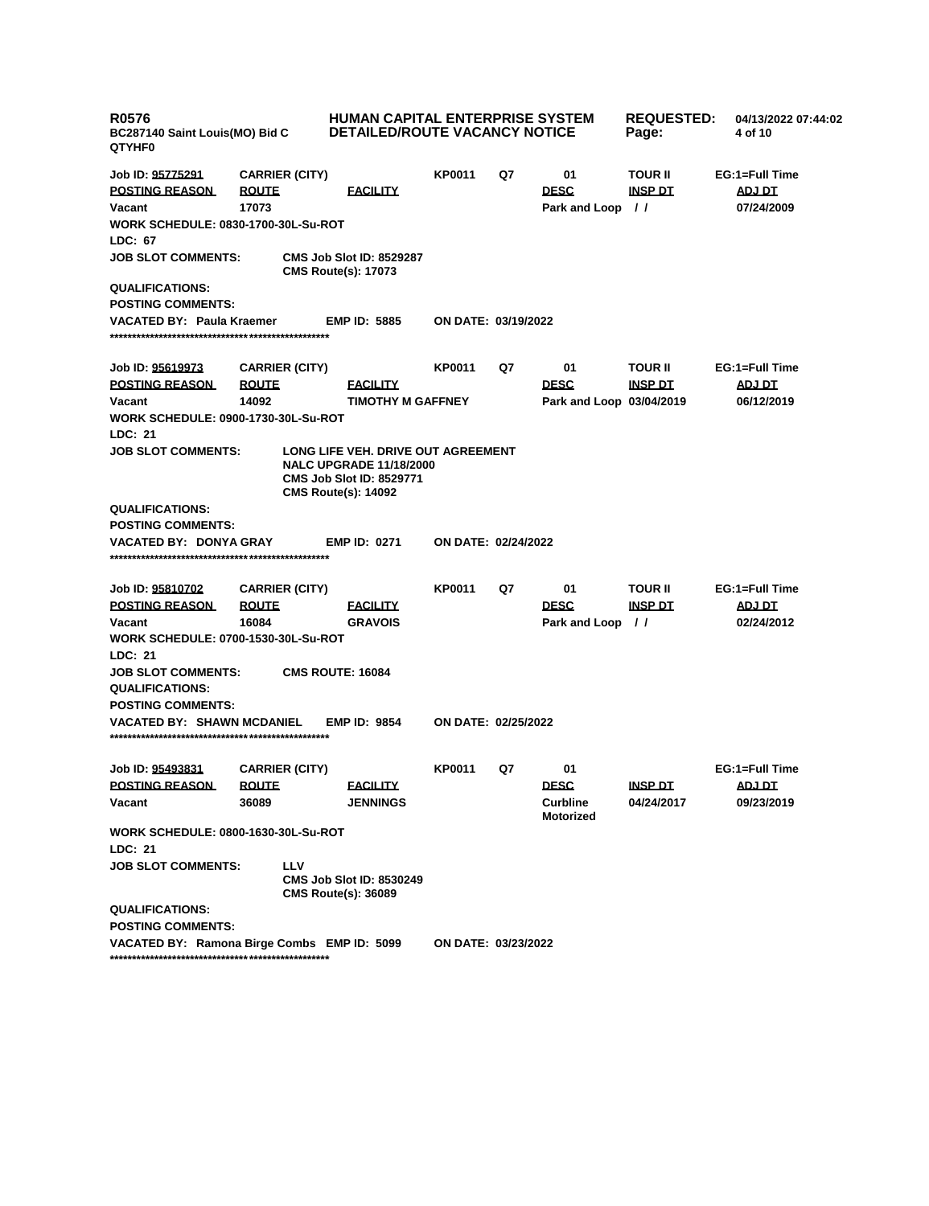| <b>R0576</b><br>BC287140 Saint Louis(MO) Bid C<br><b>QTYHF0</b>                                   | <b>HUMAN CAPITAL ENTERPRISE SYSTEM</b><br><b>DETAILED/ROUTE VACANCY NOTICE</b> |                                                                                                                                       | <b>REQUESTED:</b><br>Page: | 04/13/2022 07:44:02<br>4 of 10 |                                       |                                  |                                        |
|---------------------------------------------------------------------------------------------------|--------------------------------------------------------------------------------|---------------------------------------------------------------------------------------------------------------------------------------|----------------------------|--------------------------------|---------------------------------------|----------------------------------|----------------------------------------|
| Job ID: 95775291<br><b>POSTING REASON</b><br>Vacant<br><b>WORK SCHEDULE: 0830-1700-30L-Su-ROT</b> | <b>CARRIER (CITY)</b><br><b>ROUTE</b><br>17073                                 | <b>FACILITY</b>                                                                                                                       | KP0011                     | Q7                             | 01<br><b>DESC</b><br>Park and Loop // | <b>TOUR II</b><br><b>INSP DT</b> | EG:1=Full Time<br>ADJ DT<br>07/24/2009 |
| LDC: 67                                                                                           |                                                                                |                                                                                                                                       |                            |                                |                                       |                                  |                                        |
| <b>JOB SLOT COMMENTS:</b>                                                                         |                                                                                | <b>CMS Job Slot ID: 8529287</b><br><b>CMS Route(s): 17073</b>                                                                         |                            |                                |                                       |                                  |                                        |
| <b>QUALIFICATIONS:</b>                                                                            |                                                                                |                                                                                                                                       |                            |                                |                                       |                                  |                                        |
| <b>POSTING COMMENTS:</b>                                                                          |                                                                                |                                                                                                                                       |                            |                                |                                       |                                  |                                        |
| <b>VACATED BY: Paula Kraemer</b>                                                                  |                                                                                | <b>EMP ID: 5885</b>                                                                                                                   | ON DATE: 03/19/2022        |                                |                                       |                                  |                                        |
| Job ID: 95619973                                                                                  | <b>CARRIER (CITY)</b>                                                          |                                                                                                                                       | <b>KP0011</b>              | Q7                             | 01                                    | <b>TOUR II</b>                   | EG:1=Full Time                         |
| <b>POSTING REASON</b>                                                                             | <b>ROUTE</b>                                                                   | <b>FACILITY</b>                                                                                                                       |                            |                                | <b>DESC</b>                           | <u>INSP DT</u>                   | <b>ADJ DT</b>                          |
| Vacant                                                                                            | 14092                                                                          | <b>TIMOTHY M GAFFNEY</b>                                                                                                              |                            |                                | Park and Loop 03/04/2019              |                                  | 06/12/2019                             |
| <b>WORK SCHEDULE: 0900-1730-30L-Su-ROT</b>                                                        |                                                                                |                                                                                                                                       |                            |                                |                                       |                                  |                                        |
| LDC: 21                                                                                           |                                                                                |                                                                                                                                       |                            |                                |                                       |                                  |                                        |
| <b>JOB SLOT COMMENTS:</b>                                                                         |                                                                                | LONG LIFE VEH. DRIVE OUT AGREEMENT<br><b>NALC UPGRADE 11/18/2000</b><br><b>CMS Job Slot ID: 8529771</b><br><b>CMS Route(s): 14092</b> |                            |                                |                                       |                                  |                                        |
| <b>QUALIFICATIONS:</b><br><b>POSTING COMMENTS:</b>                                                |                                                                                |                                                                                                                                       |                            |                                |                                       |                                  |                                        |
| <b>VACATED BY: DONYA GRAY</b>                                                                     |                                                                                | <b>EMP ID: 0271</b>                                                                                                                   | <b>ON DATE: 02/24/2022</b> |                                |                                       |                                  |                                        |
| Job ID: 95810702                                                                                  | <b>CARRIER (CITY)</b>                                                          |                                                                                                                                       | <b>KP0011</b>              | Q7                             | 01                                    | <b>TOUR II</b>                   | EG:1=Full Time                         |
| <b>POSTING REASON</b>                                                                             | <b>ROUTE</b>                                                                   | <b>FACILITY</b>                                                                                                                       |                            |                                | <b>DESC</b>                           | <b>INSP DT</b>                   | <b>ADJ DT</b>                          |
| Vacant                                                                                            | 16084                                                                          | <b>GRAVOIS</b>                                                                                                                        |                            |                                | Park and Loop //                      |                                  | 02/24/2012                             |
| <b>WORK SCHEDULE: 0700-1530-30L-Su-ROT</b>                                                        |                                                                                |                                                                                                                                       |                            |                                |                                       |                                  |                                        |
| LDC: 21                                                                                           |                                                                                |                                                                                                                                       |                            |                                |                                       |                                  |                                        |
| <b>JOB SLOT COMMENTS:</b>                                                                         |                                                                                | <b>CMS ROUTE: 16084</b>                                                                                                               |                            |                                |                                       |                                  |                                        |
| <b>QUALIFICATIONS:</b>                                                                            |                                                                                |                                                                                                                                       |                            |                                |                                       |                                  |                                        |
| <b>POSTING COMMENTS:</b><br><b>VACATED BY: SHAWN MCDANIEL</b>                                     |                                                                                | <b>EMP ID: 9854</b>                                                                                                                   | ON DATE: 02/25/2022        |                                |                                       |                                  |                                        |
|                                                                                                   |                                                                                |                                                                                                                                       |                            |                                |                                       |                                  |                                        |
| Job ID: 95493831                                                                                  | <b>CARRIER (CITY)</b>                                                          |                                                                                                                                       | <b>KP0011</b>              | Q7                             | 01                                    |                                  | EG:1=Full Time                         |
| <b>POSTING REASON</b>                                                                             | <b>ROUTE</b>                                                                   | <b>FACILITY</b>                                                                                                                       |                            |                                | <b>DESC</b>                           | <b>INSP DT</b>                   | ADJ DT                                 |
| Vacant                                                                                            | 36089                                                                          | <b>JENNINGS</b>                                                                                                                       |                            |                                | <b>Curbline</b><br>Motorized          | 04/24/2017                       | 09/23/2019                             |
| <b>WORK SCHEDULE: 0800-1630-30L-Su-ROT</b>                                                        |                                                                                |                                                                                                                                       |                            |                                |                                       |                                  |                                        |
| LDC: 21                                                                                           |                                                                                |                                                                                                                                       |                            |                                |                                       |                                  |                                        |
| <b>JOB SLOT COMMENTS:</b>                                                                         | <b>LLV</b>                                                                     | <b>CMS Job Slot ID: 8530249</b><br><b>CMS Route(s): 36089</b>                                                                         |                            |                                |                                       |                                  |                                        |
| <b>QUALIFICATIONS:</b>                                                                            |                                                                                |                                                                                                                                       |                            |                                |                                       |                                  |                                        |
| <b>POSTING COMMENTS:</b>                                                                          |                                                                                |                                                                                                                                       |                            |                                |                                       |                                  |                                        |
| VACATED BY: Ramona Birge Combs EMP ID: 5099                                                       |                                                                                |                                                                                                                                       | ON DATE: 03/23/2022        |                                |                                       |                                  |                                        |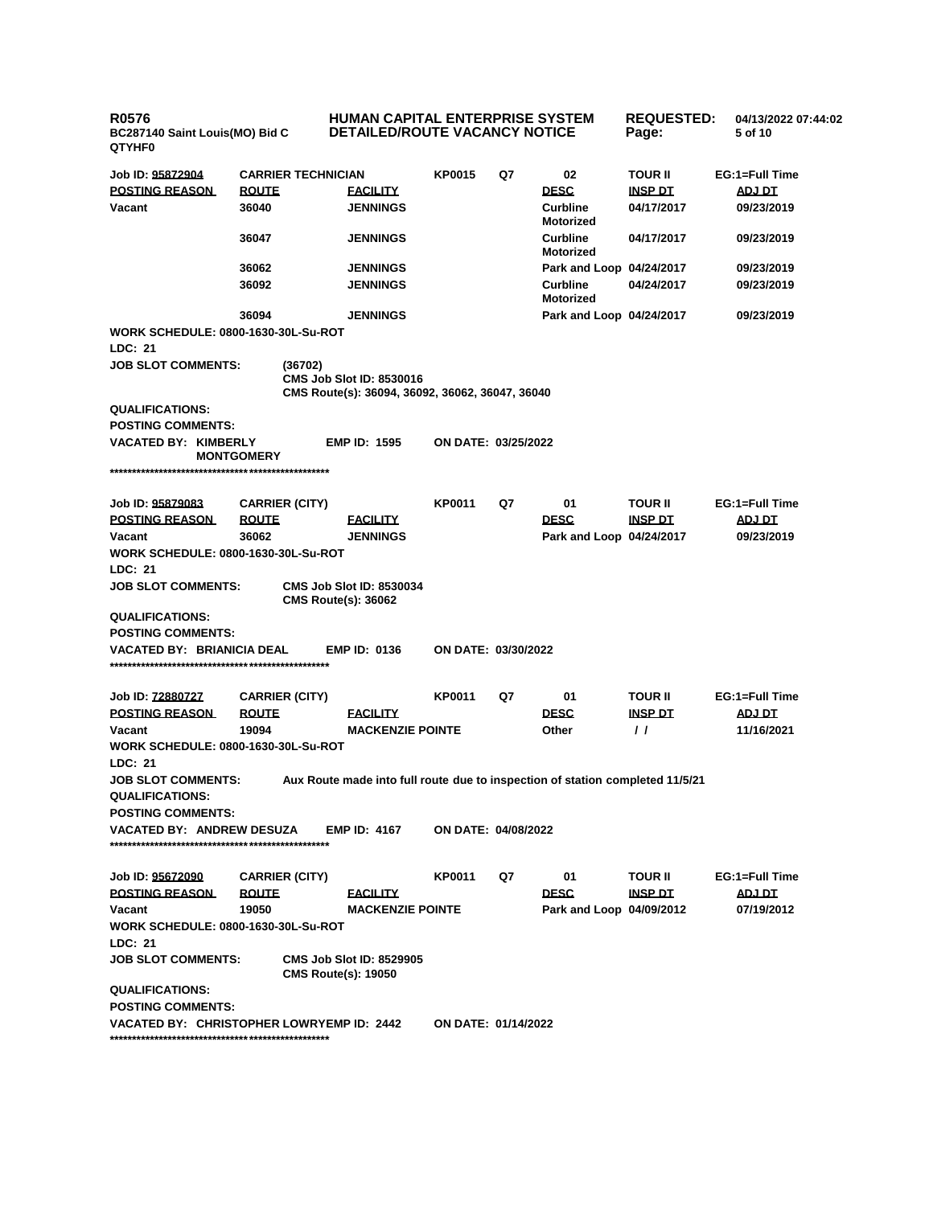**R0576 BC287140 Saint Louis(MO) Bid C QTYHF0 HUMAN CAPITAL ENTERPRISE SYSTEM DETAILED/ROUTE VACANCY NOTICE REQUESTED: 04/13/2022 07:44:02 Page: 5 of 10 Job ID: 95872904 CARRIER TECHNICIAN KP0015 Q7 02 TOUR II EG:1=Full Time POSTING REASON ROUTE FACILITY DESC INSP DT ADJ DT Vacant 36040 JENNINGS Curbline Motorized 04/17/2017 09/23/2019 36047 JENNINGS Curbline Motorized 04/17/2017 09/23/2019 36062 JENNINGS Park and Loop 04/24/2017 09/23/2019 36092 JENNINGS Curbline Motorized 04/24/2017 09/23/2019 36094 JENNINGS Park and Loop 04/24/2017 09/23/2019 WORK SCHEDULE: 0800-1630-30L-Su-ROT LDC: 21 JOB SLOT COMMENTS: (36702) CMS Job Slot ID: 8530016 CMS Route(s): 36094, 36092, 36062, 36047, 36040 QUALIFICATIONS: POSTING COMMENTS: VACATED BY: KIMBERLY MONTGOMERY EMP ID: 1595 ON DATE: 03/25/2022 \*\*\*\*\*\*\*\*\*\*\*\*\*\*\*\*\*\*\*\*\*\*\*\*\*\*\*\*\*\*\*\*\*\*\*\*\*\*\*\*\*\*\*\*\*\*\*\*\* Job ID: 95879083 CARRIER (CITY) KP0011 Q7 01 TOUR II EG:1=Full Time POSTING REASON ROUTE FACILITY DESC INSP DT ADJ DT Vacant 36062 JENNINGS Park and Loop 04/24/2017 09/23/2019 WORK SCHEDULE: 0800-1630-30L-Su-ROT LDC: 21 JOB SLOT COMMENTS: CMS Job Slot ID: 8530034 CMS Route(s): 36062 QUALIFICATIONS: POSTING COMMENTS: VACATED BY: BRIANICIA DEAL EMP ID: 0136 ON DATE: 03/30/2022 \*\*\*\*\*\*\*\*\*\*\*\*\*\*\*\*\*\*\*\*\*\*\*\*\*\*\*\*\*\*\*\*\*\*\*\*\*\*\*\*\*\*\*\*\*\*\*\*\* Job ID: 72880727 CARRIER (CITY) KP0011 Q7 01 TOUR II EG:1=Full Time POSTING REASON ROUTE FACILITY DESC INSP DT ADJ DT Vacant 19094 MACKENZIE POINTE Other / / 11/16/2021 WORK SCHEDULE: 0800-1630-30L-Su-ROT LDC: 21 JOB SLOT COMMENTS: Aux Route made into full route due to inspection of station completed 11/5/21 QUALIFICATIONS: POSTING COMMENTS: VACATED BY: ANDREW DESUZA EMP ID: 4167 ON DATE: 04/08/2022 \*\*\*\*\*\*\*\*\*\*\*\*\*\*\*\*\*\*\*\*\*\*\*\*\*\*\*\*\*\*\*\*\*\*\*\*\*\*\*\*\*\*\*\*\*\*\*\*\* Job ID: 95672090 CARRIER (CITY) KP0011 Q7 01 TOUR II EG:1=Full Time POSTING REASON ROUTE FACILITY DESC INSP DT ADJ DT Vacant 19050 MACKENZIE POINTE Park and Loop 04/09/2012 07/19/2012 WORK SCHEDULE: 0800-1630-30L-Su-ROT LDC: 21 JOB SLOT COMMENTS: CMS Job Slot ID: 8529905 CMS Route(s): 19050 QUALIFICATIONS: POSTING COMMENTS: VACATED BY: CHRISTOPHER LOWRYEMP ID: 2442 ON DATE: 01/14/2022 \*\*\*\*\*\*\*\*\*\*\*\*\*\*\*\*\*\*\*\*\*\*\*\*\*\*\*\*\*\*\*\*\*\*\*\*\*\*\*\*\*\*\*\*\*\*\*\*\***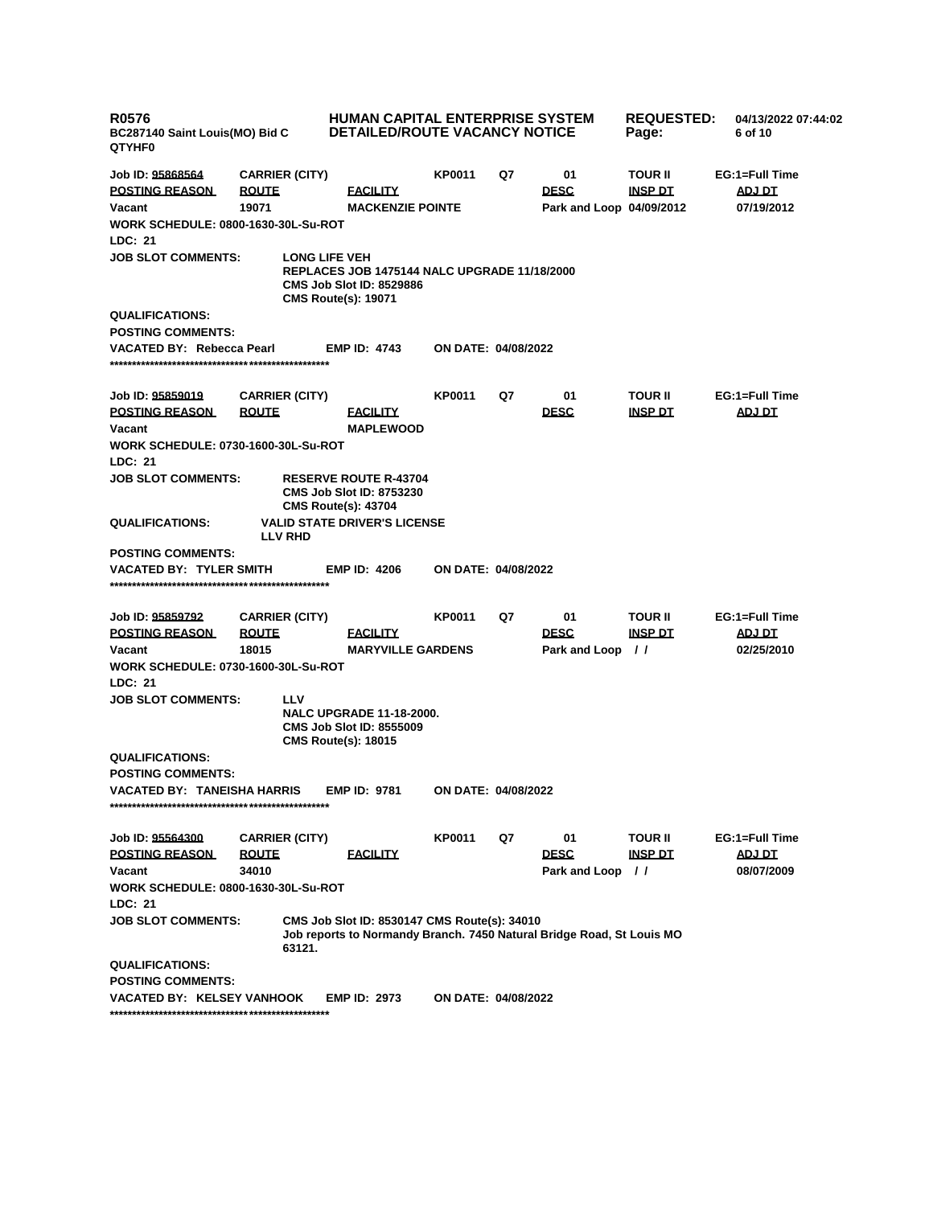| <b>R0576</b><br>BC287140 Saint Louis(MO) Bid C<br>QTYHF0 |                       | <b>HUMAN CAPITAL ENTERPRISE SYSTEM</b><br><b>DETAILED/ROUTE VACANCY NOTICE</b>                                                               |                            | <b>REQUESTED:</b><br>Page: | 04/13/2022 07:44:02<br>6 of 10  |                |                             |
|----------------------------------------------------------|-----------------------|----------------------------------------------------------------------------------------------------------------------------------------------|----------------------------|----------------------------|---------------------------------|----------------|-----------------------------|
| Job ID: 95868564                                         | <b>CARRIER (CITY)</b> |                                                                                                                                              | KP0011                     | Q7                         | 01                              | <b>TOUR II</b> | EG:1=Full Time              |
| <b>POSTING REASON</b>                                    | <b>ROUTE</b>          | <b>FACILITY</b>                                                                                                                              |                            |                            | <b>DESC</b>                     | <b>INSP DT</b> | ADJ DT                      |
| Vacant                                                   | 19071                 | <b>MACKENZIE POINTE</b>                                                                                                                      |                            |                            | Park and Loop 04/09/2012        |                | 07/19/2012                  |
| <b>WORK SCHEDULE: 0800-1630-30L-Su-ROT</b>               |                       |                                                                                                                                              |                            |                            |                                 |                |                             |
| LDC: 21                                                  |                       |                                                                                                                                              |                            |                            |                                 |                |                             |
| <b>JOB SLOT COMMENTS:</b>                                |                       | <b>LONG LIFE VEH</b><br><b>REPLACES JOB 1475144 NALC UPGRADE 11/18/2000</b><br><b>CMS Job Slot ID: 8529886</b><br><b>CMS Route(s): 19071</b> |                            |                            |                                 |                |                             |
| <b>QUALIFICATIONS:</b>                                   |                       |                                                                                                                                              |                            |                            |                                 |                |                             |
| <b>POSTING COMMENTS:</b>                                 |                       |                                                                                                                                              |                            |                            |                                 |                |                             |
| VACATED BY: Rebecca Pearl                                |                       | <b>EMP ID: 4743</b>                                                                                                                          | <b>ON DATE: 04/08/2022</b> |                            |                                 |                |                             |
| Job ID: 95859019                                         | <b>CARRIER (CITY)</b> |                                                                                                                                              | KP0011                     | Q7                         | 01                              | <b>TOUR II</b> | EG:1=Full Time              |
| <b>POSTING REASON</b>                                    | <b>ROUTE</b>          | <b>FACILITY</b>                                                                                                                              |                            |                            | <b>DESC</b>                     | <b>INSP DT</b> | <b>ADJ DT</b>               |
| Vacant                                                   |                       | <b>MAPLEWOOD</b>                                                                                                                             |                            |                            |                                 |                |                             |
| WORK SCHEDULE: 0730-1600-30L-Su-ROT                      |                       |                                                                                                                                              |                            |                            |                                 |                |                             |
| <b>LDC: 21</b>                                           |                       |                                                                                                                                              |                            |                            |                                 |                |                             |
| <b>JOB SLOT COMMENTS:</b>                                |                       | <b>RESERVE ROUTE R-43704</b><br><b>CMS Job Slot ID: 8753230</b><br><b>CMS Route(s): 43704</b>                                                |                            |                            |                                 |                |                             |
| <b>QUALIFICATIONS:</b>                                   | <b>LLV RHD</b>        | <b>VALID STATE DRIVER'S LICENSE</b>                                                                                                          |                            |                            |                                 |                |                             |
| <b>POSTING COMMENTS:</b>                                 |                       |                                                                                                                                              |                            |                            |                                 |                |                             |
| <b>VACATED BY: TYLER SMITH</b>                           |                       | <b>EMP ID: 4206</b>                                                                                                                          | <b>ON DATE: 04/08/2022</b> |                            |                                 |                |                             |
|                                                          |                       |                                                                                                                                              |                            |                            |                                 |                |                             |
|                                                          |                       |                                                                                                                                              |                            |                            |                                 |                |                             |
| Job ID: 95859792                                         | <b>CARRIER (CITY)</b> |                                                                                                                                              | KP0011                     | Q7                         | 01                              | <b>TOUR II</b> | EG:1=Full Time              |
| <b>POSTING REASON</b><br>Vacant                          | <u>ROUTE</u><br>18015 | <b>FACILITY</b><br><b>MARYVILLE GARDENS</b>                                                                                                  |                            |                            | <b>DESC</b><br>Park and Loop // | <b>INSP DT</b> | <b>ADJ DT</b><br>02/25/2010 |
| <b>WORK SCHEDULE: 0730-1600-30L-Su-ROT</b>               |                       |                                                                                                                                              |                            |                            |                                 |                |                             |
| <b>LDC: 21</b>                                           |                       |                                                                                                                                              |                            |                            |                                 |                |                             |
| <b>JOB SLOT COMMENTS:</b>                                | <b>LLV</b>            |                                                                                                                                              |                            |                            |                                 |                |                             |
|                                                          |                       | <b>NALC UPGRADE 11-18-2000.</b><br><b>CMS Job Slot ID: 8555009</b><br><b>CMS Route(s): 18015</b>                                             |                            |                            |                                 |                |                             |
| <b>QUALIFICATIONS:</b>                                   |                       |                                                                                                                                              |                            |                            |                                 |                |                             |
| <b>POSTING COMMENTS:</b>                                 |                       |                                                                                                                                              |                            |                            |                                 |                |                             |
| <b>VACATED BY: TANEISHA HARRIS</b>                       |                       | <b>EMP ID: 9781</b>                                                                                                                          | ON DATE: 04/08/2022        |                            |                                 |                |                             |
|                                                          |                       |                                                                                                                                              |                            |                            |                                 |                |                             |
| Job ID: 95564300                                         | <b>CARRIER (CITY)</b> |                                                                                                                                              | KP0011                     | Q7                         | 01                              | <b>TOUR II</b> | EG:1=Full Time              |
| <b>POSTING REASON</b>                                    | <b>ROUTE</b>          | <b>FACILITY</b>                                                                                                                              |                            |                            | <b>DESC</b>                     | <u>INSP DT</u> | ADJ DT                      |
| Vacant                                                   | 34010                 |                                                                                                                                              |                            |                            | Park and Loop                   | - 11           | 08/07/2009                  |
| <b>WORK SCHEDULE: 0800-1630-30L-Su-ROT</b>               |                       |                                                                                                                                              |                            |                            |                                 |                |                             |
| LDC: 21                                                  |                       |                                                                                                                                              |                            |                            |                                 |                |                             |
| <b>JOB SLOT COMMENTS:</b>                                | 63121.                | CMS Job Slot ID: 8530147 CMS Route(s): 34010<br>Job reports to Normandy Branch. 7450 Natural Bridge Road, St Louis MO                        |                            |                            |                                 |                |                             |
| <b>QUALIFICATIONS:</b>                                   |                       |                                                                                                                                              |                            |                            |                                 |                |                             |
| <b>POSTING COMMENTS:</b>                                 |                       |                                                                                                                                              |                            |                            |                                 |                |                             |
| <b>VACATED BY: KELSEY VANHOOK</b>                        |                       | <b>EMP ID: 2973</b>                                                                                                                          | <b>ON DATE: 04/08/2022</b> |                            |                                 |                |                             |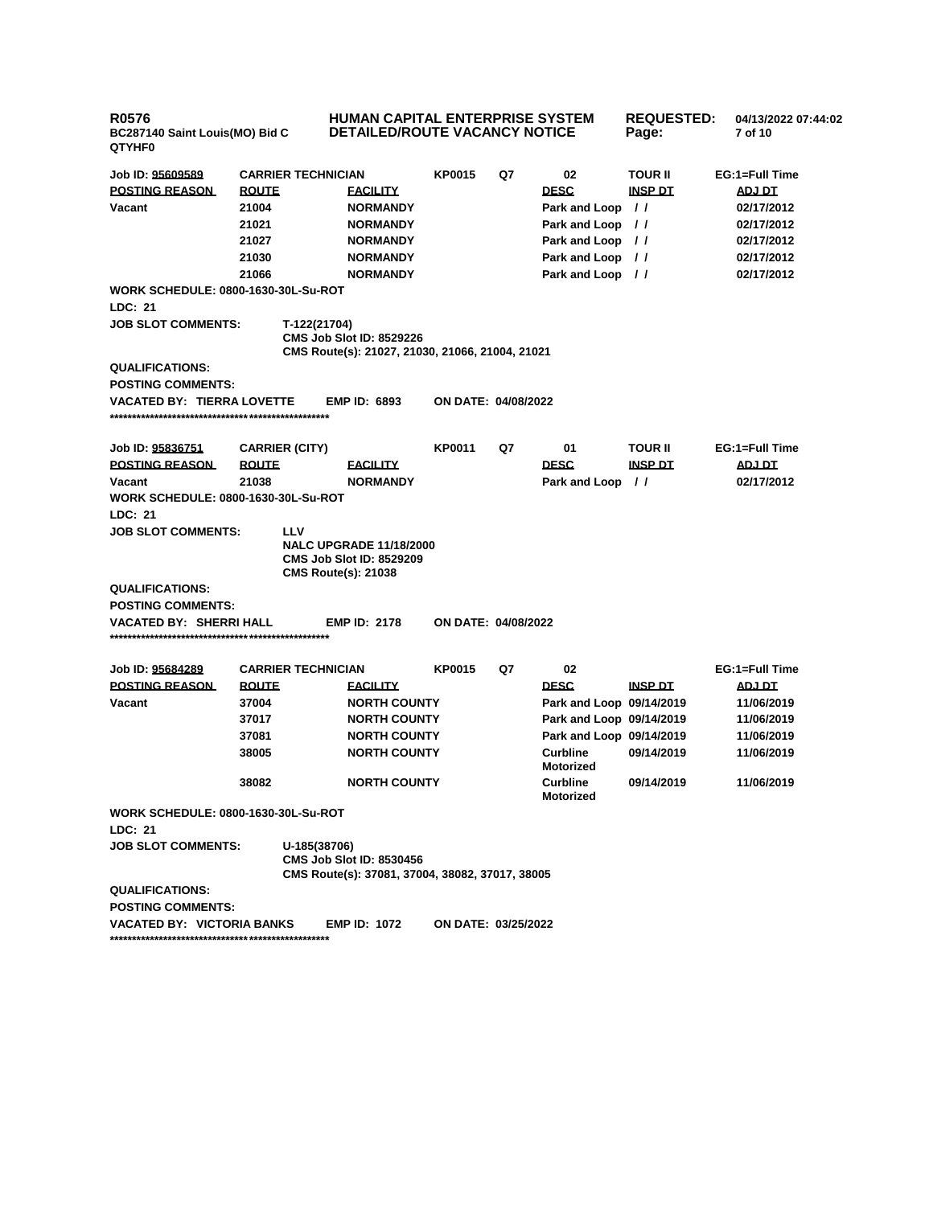| <b>R0576</b><br>BC287140 Saint Louis(MO) Bid C<br><b>QTYHF0</b> |                |                                          | <b>HUMAN CAPITAL ENTERPRISE SYSTEM</b><br><b>DETAILED/ROUTE VACANCY NOTICE</b>     |                            |    |                                     | <b>REQUESTED:</b><br>Page: | 04/13/2022 07:44:02<br>7 of 10 |
|-----------------------------------------------------------------|----------------|------------------------------------------|------------------------------------------------------------------------------------|----------------------------|----|-------------------------------------|----------------------------|--------------------------------|
| Job ID: 95609589                                                |                | <b>CARRIER TECHNICIAN</b>                |                                                                                    | <b>KP0015</b>              | Q7 | 02                                  | TOUR II                    | EG:1=Full Time                 |
| <b>POSTING REASON</b>                                           | <b>ROUTE</b>   |                                          | <b>FACILITY</b>                                                                    |                            |    | <b>DESC</b>                         | <b>INSP DT</b>             | <b>ADJ DT</b>                  |
| Vacant                                                          | 21004          |                                          | <b>NORMANDY</b>                                                                    |                            |    |                                     | $\prime$                   |                                |
|                                                                 |                |                                          |                                                                                    |                            |    | Park and Loop                       |                            | 02/17/2012                     |
|                                                                 | 21021<br>21027 |                                          | <b>NORMANDY</b>                                                                    |                            |    | Park and Loop                       | $\prime\prime$             | 02/17/2012                     |
|                                                                 |                |                                          | <b>NORMANDY</b>                                                                    |                            |    | Park and Loop                       | $\prime$                   | 02/17/2012                     |
|                                                                 | 21030          |                                          | <b>NORMANDY</b>                                                                    |                            |    | Park and Loop                       | $\prime$                   | 02/17/2012                     |
| <b>WORK SCHEDULE: 0800-1630-30L-Su-ROT</b>                      | 21066          |                                          | <b>NORMANDY</b>                                                                    |                            |    | Park and Loop //                    |                            | 02/17/2012                     |
| LDC: 21                                                         |                |                                          |                                                                                    |                            |    |                                     |                            |                                |
| <b>JOB SLOT COMMENTS:</b>                                       |                |                                          |                                                                                    |                            |    |                                     |                            |                                |
|                                                                 |                | T-122(21704)                             | <b>CMS Job Slot ID: 8529226</b><br>CMS Route(s): 21027, 21030, 21066, 21004, 21021 |                            |    |                                     |                            |                                |
| <b>QUALIFICATIONS:</b>                                          |                |                                          |                                                                                    |                            |    |                                     |                            |                                |
| <b>POSTING COMMENTS:</b>                                        |                |                                          |                                                                                    |                            |    |                                     |                            |                                |
| <b>VACATED BY: TIERRA LOVETTE</b>                               |                |                                          | <b>EMP ID: 6893</b>                                                                | <b>ON DATE: 04/08/2022</b> |    |                                     |                            |                                |
|                                                                 |                |                                          |                                                                                    |                            |    |                                     |                            |                                |
| Job ID: 95836751                                                |                | <b>CARRIER (CITY)</b>                    |                                                                                    | KP0011                     | Q7 | 01                                  | TOUR II                    | EG:1=Full Time                 |
| <b>POSTING REASON</b>                                           | <b>ROUTE</b>   |                                          | <b>FACILITY</b>                                                                    |                            |    | <b>DESC</b>                         | <b>INSP DT</b>             | ADJ DT                         |
| Vacant                                                          | 21038          |                                          | <b>NORMANDY</b>                                                                    |                            |    | Park and Loop                       | $\prime\prime$             | 02/17/2012                     |
| <b>WORK SCHEDULE: 0800-1630-30L-Su-ROT</b>                      |                |                                          |                                                                                    |                            |    |                                     |                            |                                |
| LDC: 21                                                         |                |                                          |                                                                                    |                            |    |                                     |                            |                                |
| <b>JOB SLOT COMMENTS:</b>                                       |                | <b>LLV</b><br><b>CMS Route(s): 21038</b> | <b>NALC UPGRADE 11/18/2000</b><br><b>CMS Job Slot ID: 8529209</b>                  |                            |    |                                     |                            |                                |
| <b>QUALIFICATIONS:</b>                                          |                |                                          |                                                                                    |                            |    |                                     |                            |                                |
| <b>POSTING COMMENTS:</b>                                        |                |                                          |                                                                                    |                            |    |                                     |                            |                                |
| VACATED BY: SHERRI HALL                                         |                |                                          | <b>EMP ID: 2178</b>                                                                | ON DATE: 04/08/2022        |    |                                     |                            |                                |
| Job ID: 95684289                                                |                | <b>CARRIER TECHNICIAN</b>                |                                                                                    | <b>KP0015</b>              | Q7 | 02                                  |                            | EG:1=Full Time                 |
| <b>POSTING REASON</b>                                           | <b>ROUTE</b>   |                                          | <b>FACILITY</b>                                                                    |                            |    | <b>DESC</b>                         | <u>INSP DT</u>             | <u>ADJ DT</u>                  |
| Vacant                                                          | 37004          |                                          | <b>NORTH COUNTY</b>                                                                |                            |    | Park and Loop 09/14/2019            |                            | 11/06/2019                     |
|                                                                 | 37017          |                                          | <b>NORTH COUNTY</b>                                                                |                            |    | Park and Loop 09/14/2019            |                            | 11/06/2019                     |
|                                                                 | 37081          |                                          | <b>NORTH COUNTY</b>                                                                |                            |    | Park and Loop 09/14/2019            |                            | 11/06/2019                     |
|                                                                 | 38005          |                                          | <b>NORTH COUNTY</b>                                                                |                            |    | <b>Curbline</b><br><b>Motorized</b> | 09/14/2019                 | 11/06/2019                     |
|                                                                 | 38082          |                                          | <b>NORTH COUNTY</b>                                                                |                            |    | <b>Curbline</b><br><b>Motorized</b> | 09/14/2019                 | 11/06/2019                     |
| <b>WORK SCHEDULE: 0800-1630-30L-Su-ROT</b>                      |                |                                          |                                                                                    |                            |    |                                     |                            |                                |
| LDC: 21                                                         |                |                                          |                                                                                    |                            |    |                                     |                            |                                |
| <b>JOB SLOT COMMENTS:</b>                                       |                | U-185(38706)                             | <b>CMS Job Slot ID: 8530456</b><br>CMS Route(s): 37081, 37004, 38082, 37017, 38005 |                            |    |                                     |                            |                                |
| <b>QUALIFICATIONS:</b><br><b>POSTING COMMENTS:</b>              |                |                                          |                                                                                    |                            |    |                                     |                            |                                |
| VACATED BY: VICTORIA BANKS                                      |                |                                          | <b>EMP ID: 1072</b>                                                                | <b>ON DATE: 03/25/2022</b> |    |                                     |                            |                                |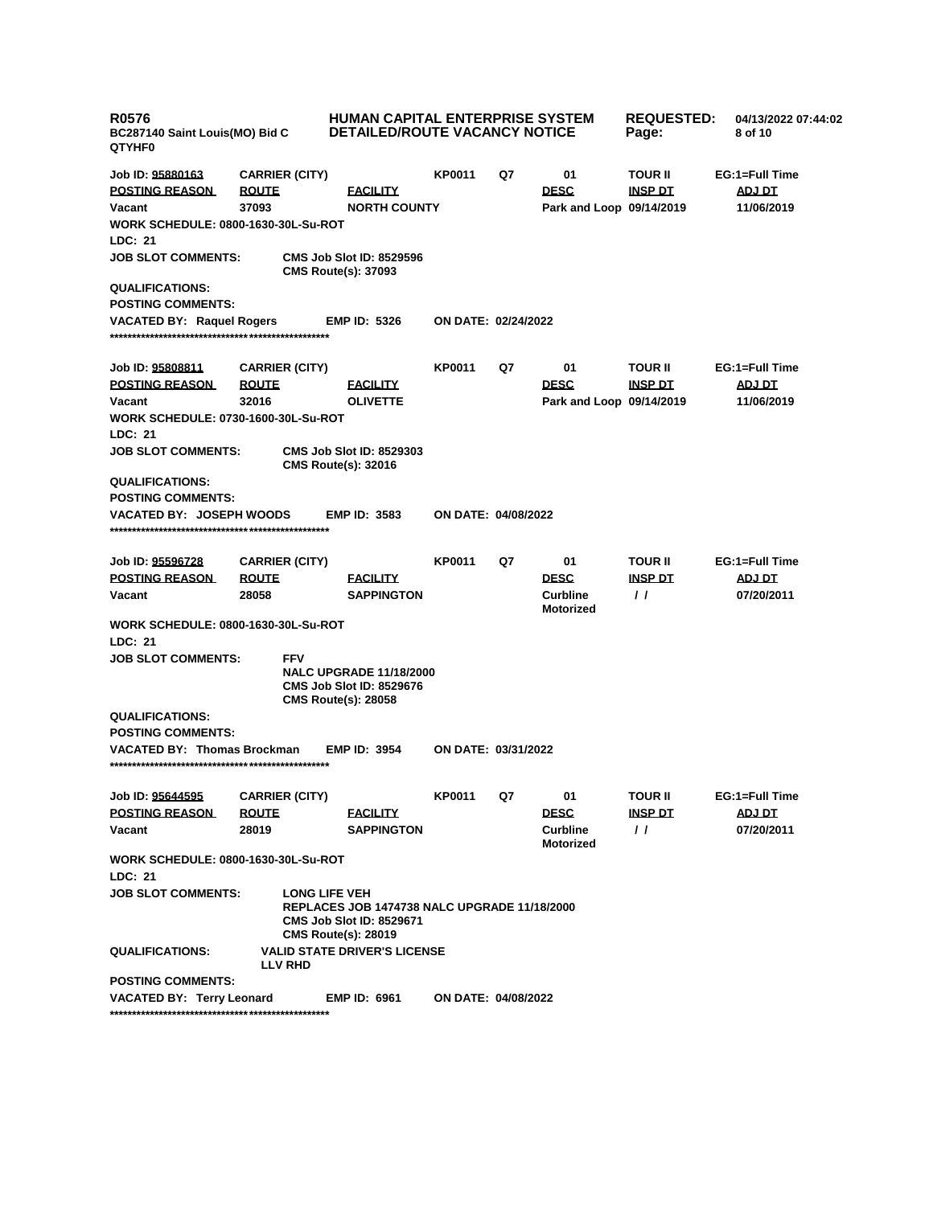| <b>R0576</b><br>BC287140 Saint Louis(MO) Bid C<br><b>QTYHF0</b> |                                       | <b>HUMAN CAPITAL ENTERPRISE SYSTEM</b><br><b>DETAILED/ROUTE VACANCY NOTICE</b>                                                        |                            |    | <b>REQUESTED:</b><br>Page:          | 04/13/2022 07:44:02<br>8 of 10 |                |
|-----------------------------------------------------------------|---------------------------------------|---------------------------------------------------------------------------------------------------------------------------------------|----------------------------|----|-------------------------------------|--------------------------------|----------------|
| Job ID: 95880163                                                | <b>CARRIER (CITY)</b>                 |                                                                                                                                       | KP0011                     | Q7 | 01                                  | <b>TOUR II</b>                 | EG:1=Full Time |
| <b>POSTING REASON</b>                                           | <b>ROUTE</b>                          | <b>FACILITY</b>                                                                                                                       |                            |    | <b>DESC</b>                         | <b>INSP DT</b>                 | ADJ DT         |
| Vacant                                                          | 37093                                 | <b>NORTH COUNTY</b>                                                                                                                   |                            |    | Park and Loop 09/14/2019            |                                | 11/06/2019     |
| <b>WORK SCHEDULE: 0800-1630-30L-Su-ROT</b>                      |                                       |                                                                                                                                       |                            |    |                                     |                                |                |
| <b>LDC: 21</b>                                                  |                                       |                                                                                                                                       |                            |    |                                     |                                |                |
| <b>JOB SLOT COMMENTS:</b>                                       |                                       | <b>CMS Job Slot ID: 8529596</b><br><b>CMS Route(s): 37093</b>                                                                         |                            |    |                                     |                                |                |
| <b>QUALIFICATIONS:</b>                                          |                                       |                                                                                                                                       |                            |    |                                     |                                |                |
| <b>POSTING COMMENTS:</b>                                        |                                       |                                                                                                                                       |                            |    |                                     |                                |                |
| <b>VACATED BY: Raquel Rogers</b>                                |                                       | <b>EMP ID: 5326</b>                                                                                                                   | <b>ON DATE: 02/24/2022</b> |    |                                     |                                |                |
|                                                                 |                                       |                                                                                                                                       |                            |    |                                     |                                |                |
| Job ID: 95808811                                                |                                       |                                                                                                                                       | <b>KP0011</b>              | Q7 | 01                                  | <b>TOUR II</b>                 | EG:1=Full Time |
| <b>POSTING REASON</b>                                           | <b>CARRIER (CITY)</b><br><b>ROUTE</b> | <b>FACILITY</b>                                                                                                                       |                            |    | <b>DESC</b>                         | <u>INSP DT</u>                 | <b>ADJ DT</b>  |
| Vacant                                                          | 32016                                 | <b>OLIVETTE</b>                                                                                                                       |                            |    | Park and Loop 09/14/2019            |                                | 11/06/2019     |
| <b>WORK SCHEDULE: 0730-1600-30L-Su-ROT</b>                      |                                       |                                                                                                                                       |                            |    |                                     |                                |                |
| LDC: 21                                                         |                                       |                                                                                                                                       |                            |    |                                     |                                |                |
| <b>JOB SLOT COMMENTS:</b>                                       |                                       | <b>CMS Job Slot ID: 8529303</b><br><b>CMS Route(s): 32016</b>                                                                         |                            |    |                                     |                                |                |
| <b>QUALIFICATIONS:</b>                                          |                                       |                                                                                                                                       |                            |    |                                     |                                |                |
| <b>POSTING COMMENTS:</b>                                        |                                       |                                                                                                                                       |                            |    |                                     |                                |                |
| <b>VACATED BY: JOSEPH WOODS</b>                                 |                                       | <b>EMP ID: 3583</b>                                                                                                                   | ON DATE: 04/08/2022        |    |                                     |                                |                |
|                                                                 |                                       |                                                                                                                                       |                            |    |                                     |                                |                |
|                                                                 |                                       |                                                                                                                                       |                            |    |                                     |                                |                |
| Job ID: 95596728                                                | <b>CARRIER (CITY)</b>                 |                                                                                                                                       | <b>KP0011</b>              | Q7 | 01                                  | <b>TOUR II</b>                 | EG:1=Full Time |
| <b>POSTING REASON</b>                                           | <b>ROUTE</b>                          | <b>FACILITY</b>                                                                                                                       |                            |    | <b>DESC</b>                         | <b>INSP DT</b>                 | <b>ADJ DT</b>  |
| Vacant                                                          | 28058                                 | <b>SAPPINGTON</b>                                                                                                                     |                            |    | <b>Curbline</b><br><b>Motorized</b> | $\prime$                       | 07/20/2011     |
| <b>WORK SCHEDULE: 0800-1630-30L-Su-ROT</b>                      |                                       |                                                                                                                                       |                            |    |                                     |                                |                |
| <b>LDC: 21</b>                                                  |                                       |                                                                                                                                       |                            |    |                                     |                                |                |
| <b>JOB SLOT COMMENTS:</b>                                       | <b>FFV</b>                            | <b>NALC UPGRADE 11/18/2000</b><br>CMS Job Slot ID: 8529676<br><b>CMS Route(s): 28058</b>                                              |                            |    |                                     |                                |                |
| <b>QUALIFICATIONS:</b>                                          |                                       |                                                                                                                                       |                            |    |                                     |                                |                |
| <b>POSTING COMMENTS:</b>                                        |                                       |                                                                                                                                       |                            |    |                                     |                                |                |
| <b>VACATED BY: Thomas Brockman</b>                              |                                       | <b>EMP ID: 3954</b>                                                                                                                   | ON DATE: 03/31/2022        |    |                                     |                                |                |
| Job ID: 95644595                                                | <b>CARRIER (CITY)</b>                 |                                                                                                                                       | KP0011                     | Q7 | 01                                  | TOUR II                        | EG:1=Full Time |
| <b>POSTING REASON</b>                                           | <b>ROUTE</b>                          | <b>FACILITY</b>                                                                                                                       |                            |    | <b>DESC</b>                         | INSP DT                        | ADJ DT         |
| Vacant                                                          | 28019                                 | <b>SAPPINGTON</b>                                                                                                                     |                            |    | <b>Curbline</b>                     | $\prime\prime$                 | 07/20/2011     |
|                                                                 |                                       |                                                                                                                                       |                            |    | <b>Motorized</b>                    |                                |                |
| <b>WORK SCHEDULE: 0800-1630-30L-Su-ROT</b>                      |                                       |                                                                                                                                       |                            |    |                                     |                                |                |
| LDC: 21                                                         |                                       |                                                                                                                                       |                            |    |                                     |                                |                |
| <b>JOB SLOT COMMENTS:</b>                                       |                                       | <b>LONG LIFE VEH</b><br>REPLACES JOB 1474738 NALC UPGRADE 11/18/2000<br><b>CMS Job Slot ID: 8529671</b><br><b>CMS Route(s): 28019</b> |                            |    |                                     |                                |                |
| <b>QUALIFICATIONS:</b>                                          | <b>LLV RHD</b>                        | <b>VALID STATE DRIVER'S LICENSE</b>                                                                                                   |                            |    |                                     |                                |                |
| <b>POSTING COMMENTS:</b>                                        |                                       |                                                                                                                                       |                            |    |                                     |                                |                |
| <b>VACATED BY: Terry Leonard</b>                                |                                       | <b>EMP ID: 6961</b>                                                                                                                   | ON DATE: 04/08/2022        |    |                                     |                                |                |
|                                                                 |                                       |                                                                                                                                       |                            |    |                                     |                                |                |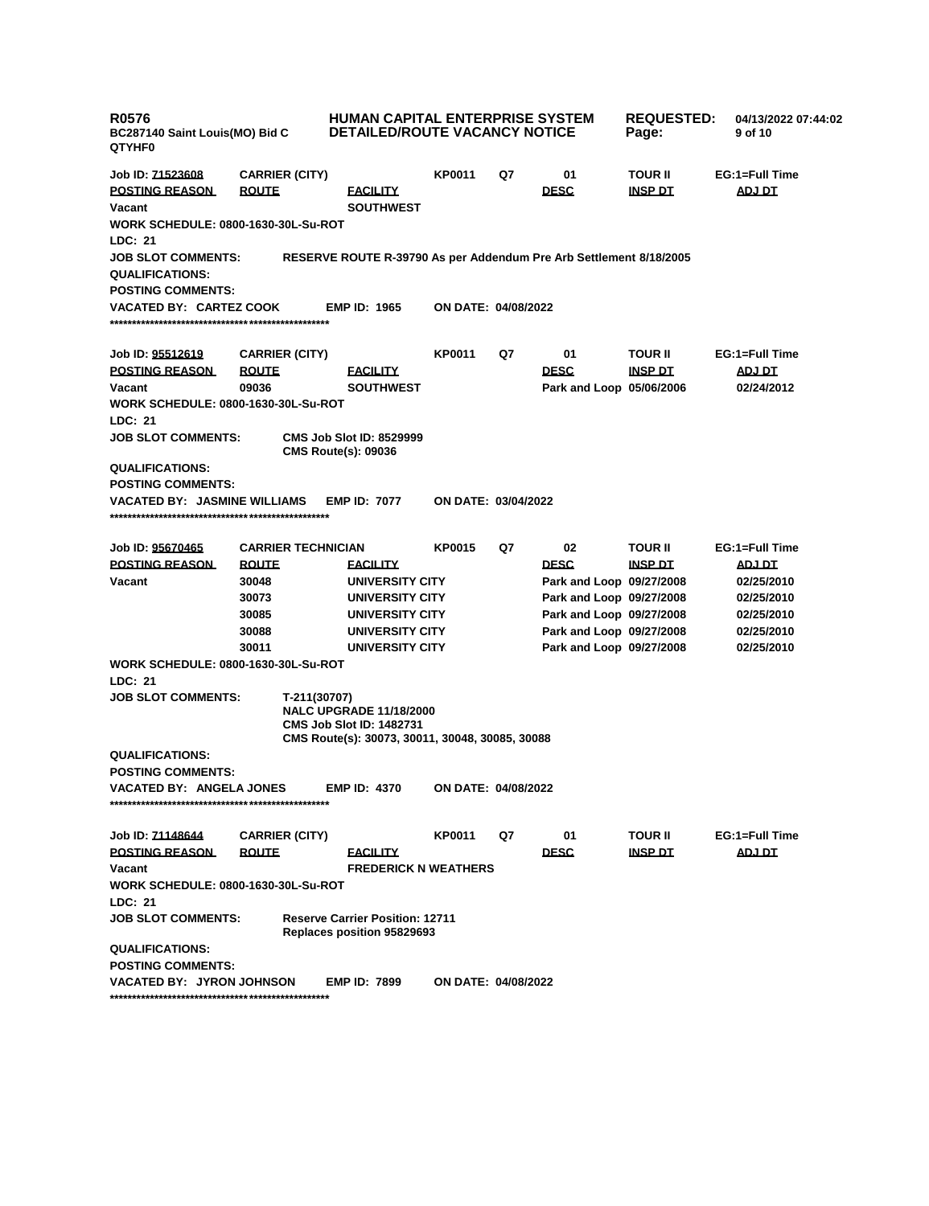| <b>R0576</b><br>BC287140 Saint Louis(MO) Bid C<br><b>QTYHF0</b> |                           | <b>HUMAN CAPITAL ENTERPRISE SYSTEM</b><br><b>DETAILED/ROUTE VACANCY NOTICE</b>                                       |                            | <b>REQUESTED:</b><br>Page: | 04/13/2022 07:44:02<br>9 of 10 |                |                |
|-----------------------------------------------------------------|---------------------------|----------------------------------------------------------------------------------------------------------------------|----------------------------|----------------------------|--------------------------------|----------------|----------------|
| Job ID: 71523608                                                | <b>CARRIER (CITY)</b>     |                                                                                                                      | KP0011                     | Q7                         | 01                             | TOUR II        | EG:1=Full Time |
| <b>POSTING REASON</b>                                           | <b>ROUTE</b>              | <b>FACILITY</b>                                                                                                      |                            |                            | <b>DESC</b>                    | <b>INSP DT</b> | ADJ DT         |
| Vacant                                                          |                           | <b>SOUTHWEST</b>                                                                                                     |                            |                            |                                |                |                |
| <b>WORK SCHEDULE: 0800-1630-30L-Su-ROT</b>                      |                           |                                                                                                                      |                            |                            |                                |                |                |
| LDC: 21                                                         |                           |                                                                                                                      |                            |                            |                                |                |                |
| <b>JOB SLOT COMMENTS:</b>                                       |                           | RESERVE ROUTE R-39790 As per Addendum Pre Arb Settlement 8/18/2005                                                   |                            |                            |                                |                |                |
| <b>QUALIFICATIONS:</b>                                          |                           |                                                                                                                      |                            |                            |                                |                |                |
| <b>POSTING COMMENTS:</b>                                        |                           |                                                                                                                      |                            |                            |                                |                |                |
| VACATED BY: CARTEZ COOK                                         |                           | <b>EMP ID: 1965</b>                                                                                                  | <b>ON DATE: 04/08/2022</b> |                            |                                |                |                |
|                                                                 |                           |                                                                                                                      |                            |                            |                                |                |                |
|                                                                 |                           |                                                                                                                      |                            |                            |                                |                |                |
| Job ID: <u>95512619</u>                                         | <b>CARRIER (CITY)</b>     |                                                                                                                      | <b>KP0011</b>              | Q7                         | 01                             | TOUR II        | EG:1=Full Time |
| <b>POSTING REASON</b>                                           | <b>ROUTE</b>              | <b>FACILITY</b>                                                                                                      |                            |                            | <b>DESC</b>                    | <b>INSP DT</b> | <b>ADJ DT</b>  |
| Vacant                                                          | 09036                     | <b>SOUTHWEST</b>                                                                                                     |                            |                            | Park and Loop 05/06/2006       |                | 02/24/2012     |
| <b>WORK SCHEDULE: 0800-1630-30L-Su-ROT</b>                      |                           |                                                                                                                      |                            |                            |                                |                |                |
| LDC: 21                                                         |                           |                                                                                                                      |                            |                            |                                |                |                |
| <b>JOB SLOT COMMENTS:</b>                                       |                           | <b>CMS Job Slot ID: 8529999</b><br><b>CMS Route(s): 09036</b>                                                        |                            |                            |                                |                |                |
| <b>QUALIFICATIONS:</b>                                          |                           |                                                                                                                      |                            |                            |                                |                |                |
| <b>POSTING COMMENTS:</b>                                        |                           |                                                                                                                      |                            |                            |                                |                |                |
| <b>VACATED BY: JASMINE WILLIAMS</b>                             |                           | <b>EMP ID: 7077</b>                                                                                                  | <b>ON DATE: 03/04/2022</b> |                            |                                |                |                |
|                                                                 |                           |                                                                                                                      |                            |                            |                                |                |                |
|                                                                 |                           |                                                                                                                      |                            |                            |                                |                |                |
| Job ID: 95670465                                                | <b>CARRIER TECHNICIAN</b> |                                                                                                                      | <b>KP0015</b>              | Q7                         | 02                             | TOUR II        | EG:1=Full Time |
| <b>POSTING REASON</b>                                           | <b>ROUTE</b>              | <b>FACILITY</b>                                                                                                      |                            |                            | <b>DESC</b>                    | <b>INSP DT</b> | <b>ADJ DT</b>  |
| Vacant                                                          | 30048                     | UNIVERSITY CITY                                                                                                      |                            |                            | Park and Loop 09/27/2008       |                | 02/25/2010     |
|                                                                 | 30073                     | UNIVERSITY CITY                                                                                                      |                            |                            | Park and Loop 09/27/2008       |                | 02/25/2010     |
|                                                                 | 30085                     | UNIVERSITY CITY                                                                                                      |                            |                            | Park and Loop 09/27/2008       |                | 02/25/2010     |
|                                                                 | 30088                     | UNIVERSITY CITY                                                                                                      |                            |                            | Park and Loop 09/27/2008       |                | 02/25/2010     |
|                                                                 | 30011                     | UNIVERSITY CITY                                                                                                      |                            |                            | Park and Loop 09/27/2008       |                | 02/25/2010     |
| <b>WORK SCHEDULE: 0800-1630-30L-Su-ROT</b>                      |                           |                                                                                                                      |                            |                            |                                |                |                |
| LDC: 21                                                         |                           |                                                                                                                      |                            |                            |                                |                |                |
| <b>JOB SLOT COMMENTS:</b>                                       | T-211(30707)              | <b>NALC UPGRADE 11/18/2000</b><br><b>CMS Job Slot ID: 1482731</b><br>CMS Route(s): 30073, 30011, 30048, 30085, 30088 |                            |                            |                                |                |                |
| <b>QUALIFICATIONS:</b>                                          |                           |                                                                                                                      |                            |                            |                                |                |                |
| <b>POSTING COMMENTS:</b>                                        |                           |                                                                                                                      |                            |                            |                                |                |                |
| VACATED BY: ANGELA JONES                                        |                           | <b>EMP ID: 4370</b>                                                                                                  | ON DATE: 04/08/2022        |                            |                                |                |                |
|                                                                 |                           |                                                                                                                      |                            |                            |                                |                |                |
|                                                                 |                           |                                                                                                                      |                            |                            |                                |                |                |
| Job ID: 71148644                                                | <b>CARRIER (CITY)</b>     |                                                                                                                      | <b>KP0011</b>              | Q7                         | 01                             | <b>TOUR II</b> | EG:1=Full Time |
| <b>POSTING REASON</b>                                           | <b>ROUTE</b>              | <b>FACILITY</b>                                                                                                      |                            |                            | <b>DESC</b>                    | <b>INSP DT</b> | <u>ADJ DT</u>  |
| Vacant                                                          |                           | <b>FREDERICK N WEATHERS</b>                                                                                          |                            |                            |                                |                |                |
| <b>WORK SCHEDULE: 0800-1630-30L-Su-ROT</b>                      |                           |                                                                                                                      |                            |                            |                                |                |                |
| LDC: 21                                                         |                           |                                                                                                                      |                            |                            |                                |                |                |
| <b>JOB SLOT COMMENTS:</b>                                       |                           | <b>Reserve Carrier Position: 12711</b><br>Replaces position 95829693                                                 |                            |                            |                                |                |                |
| <b>QUALIFICATIONS:</b>                                          |                           |                                                                                                                      |                            |                            |                                |                |                |
| <b>POSTING COMMENTS:</b>                                        |                           |                                                                                                                      |                            |                            |                                |                |                |
| <b>VACATED BY: JYRON JOHNSON</b>                                |                           | <b>EMP ID: 7899</b>                                                                                                  | <b>ON DATE: 04/08/2022</b> |                            |                                |                |                |

**\*\*\*\*\*\*\*\*\*\*\*\*\*\*\*\*\*\*\*\*\*\*\*\*\*\*\*\*\*\*\*\*\*\*\*\*\*\*\*\*\*\*\*\*\*\*\*\*\***